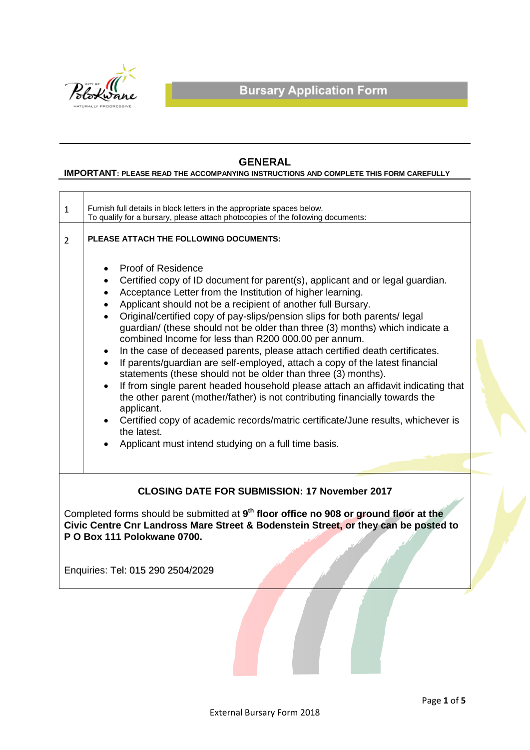

# **GENERAL**

### **IMPORTANT: PLEASE READ THE ACCOMPANYING INSTRUCTIONS AND COMPLETE THIS FORM CAREFULLY**

| $\mathbf{1}$                                                                                                                                                                                                                                                                    | Furnish full details in block letters in the appropriate spaces below.<br>To qualify for a bursary, please attach photocopies of the following documents:                                                                                                                                                                                                                                                                                                                                                                                                                                                                                                                                                                                                                                                                                                                                                                                                                                                                                                                                                      |  |  |  |
|---------------------------------------------------------------------------------------------------------------------------------------------------------------------------------------------------------------------------------------------------------------------------------|----------------------------------------------------------------------------------------------------------------------------------------------------------------------------------------------------------------------------------------------------------------------------------------------------------------------------------------------------------------------------------------------------------------------------------------------------------------------------------------------------------------------------------------------------------------------------------------------------------------------------------------------------------------------------------------------------------------------------------------------------------------------------------------------------------------------------------------------------------------------------------------------------------------------------------------------------------------------------------------------------------------------------------------------------------------------------------------------------------------|--|--|--|
| $\overline{2}$                                                                                                                                                                                                                                                                  | PLEASE ATTACH THE FOLLOWING DOCUMENTS:                                                                                                                                                                                                                                                                                                                                                                                                                                                                                                                                                                                                                                                                                                                                                                                                                                                                                                                                                                                                                                                                         |  |  |  |
|                                                                                                                                                                                                                                                                                 | <b>Proof of Residence</b><br>$\bullet$<br>Certified copy of ID document for parent(s), applicant and or legal guardian.<br>Acceptance Letter from the Institution of higher learning.<br>Applicant should not be a recipient of another full Bursary.<br>$\bullet$<br>Original/certified copy of pay-slips/pension slips for both parents/ legal<br>guardian/ (these should not be older than three (3) months) which indicate a<br>combined Income for less than R200 000.00 per annum.<br>In the case of deceased parents, please attach certified death certificates.<br>$\bullet$<br>If parents/guardian are self-employed, attach a copy of the latest financial<br>statements (these should not be older than three (3) months).<br>If from single parent headed household please attach an affidavit indicating that<br>$\bullet$<br>the other parent (mother/father) is not contributing financially towards the<br>applicant.<br>Certified copy of academic records/matric certificate/June results, whichever is<br>the latest.<br>Applicant must intend studying on a full time basis.<br>$\bullet$ |  |  |  |
|                                                                                                                                                                                                                                                                                 |                                                                                                                                                                                                                                                                                                                                                                                                                                                                                                                                                                                                                                                                                                                                                                                                                                                                                                                                                                                                                                                                                                                |  |  |  |
| <b>CLOSING DATE FOR SUBMISSION: 17 November 2017</b><br>Completed forms should be submitted at 9 <sup>th</sup> floor office no 908 or ground floor at the<br>Civic Centre Cnr Landross Mare Street & Bodenstein Street, or they can be posted to<br>P O Box 111 Polokwane 0700. |                                                                                                                                                                                                                                                                                                                                                                                                                                                                                                                                                                                                                                                                                                                                                                                                                                                                                                                                                                                                                                                                                                                |  |  |  |
|                                                                                                                                                                                                                                                                                 | Enquiries: Tel: 015 290 2504/2029                                                                                                                                                                                                                                                                                                                                                                                                                                                                                                                                                                                                                                                                                                                                                                                                                                                                                                                                                                                                                                                                              |  |  |  |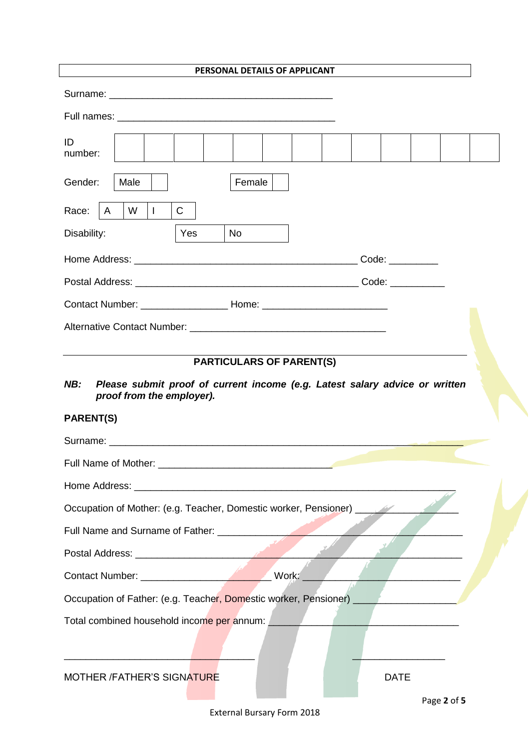| PERSONAL DETAILS OF APPLICANT                                                                                         |             |  |  |
|-----------------------------------------------------------------------------------------------------------------------|-------------|--|--|
|                                                                                                                       |             |  |  |
|                                                                                                                       |             |  |  |
| ID<br>number:                                                                                                         |             |  |  |
| Gender:<br>Male<br>Female                                                                                             |             |  |  |
| $\mathsf{C}$<br>Race:<br>W<br>$\Box$<br>$\mathsf{A}$                                                                  |             |  |  |
| Disability:<br>Yes<br>No                                                                                              |             |  |  |
|                                                                                                                       |             |  |  |
|                                                                                                                       |             |  |  |
|                                                                                                                       |             |  |  |
|                                                                                                                       |             |  |  |
| <b>PARTICULARS OF PARENT(S)</b><br>NB:<br>Please submit proof of current income (e.g. Latest salary advice or written |             |  |  |
| proof from the employer).<br><b>PARENT(S)</b>                                                                         |             |  |  |
|                                                                                                                       |             |  |  |
|                                                                                                                       |             |  |  |
| Occupation of Mother: (e.g. Teacher, Domestic worker, Pensioner) ________________                                     |             |  |  |
|                                                                                                                       |             |  |  |
|                                                                                                                       |             |  |  |
|                                                                                                                       |             |  |  |
| Occupation of Father: (e.g. Teacher, Domestic worker, Pensioner) ________________                                     |             |  |  |
| Total combined household income per annum:                                                                            |             |  |  |
| MOTHER /FATHER'S SIGNATURE                                                                                            | <b>DATE</b> |  |  |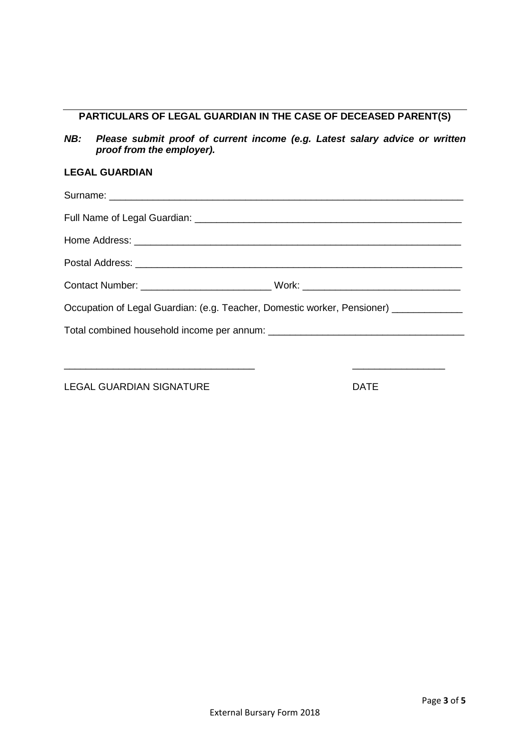# **PARTICULARS OF LEGAL GUARDIAN IN THE CASE OF DECEASED PARENT(S)**

*NB: Please submit proof of current income (e.g. Latest salary advice or written proof from the employer).*

## **LEGAL GUARDIAN**

| Occupation of Legal Guardian: (e.g. Teacher, Domestic worker, Pensioner) ____________ |  |
|---------------------------------------------------------------------------------------|--|
|                                                                                       |  |
|                                                                                       |  |
|                                                                                       |  |

LEGAL GUARDIAN SIGNATURE **Example 20 INCH SIGNATURE**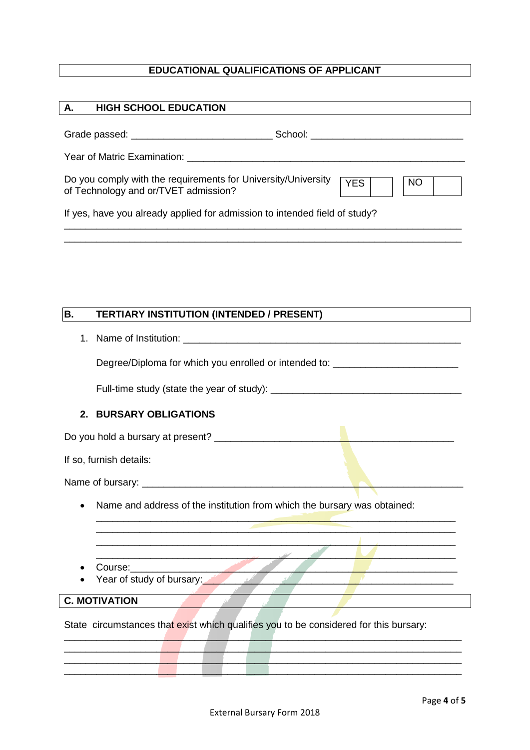## **EDUCATIONAL QUALIFICATIONS OF APPLICANT**

| <b>HIGH SCHOOL EDUCATION</b><br>А.                                                                                                                                                                                             |  |  |  |  |
|--------------------------------------------------------------------------------------------------------------------------------------------------------------------------------------------------------------------------------|--|--|--|--|
|                                                                                                                                                                                                                                |  |  |  |  |
|                                                                                                                                                                                                                                |  |  |  |  |
|                                                                                                                                                                                                                                |  |  |  |  |
| Do you comply with the requirements for University/University<br><b>YES</b><br><b>NO</b><br>of Technology and or/TVET admission?                                                                                               |  |  |  |  |
| If yes, have you already applied for admission to intended field of study?                                                                                                                                                     |  |  |  |  |
|                                                                                                                                                                                                                                |  |  |  |  |
|                                                                                                                                                                                                                                |  |  |  |  |
|                                                                                                                                                                                                                                |  |  |  |  |
|                                                                                                                                                                                                                                |  |  |  |  |
| B.<br><b>TERTIARY INSTITUTION (INTENDED / PRESENT)</b>                                                                                                                                                                         |  |  |  |  |
|                                                                                                                                                                                                                                |  |  |  |  |
| Degree/Diploma for which you enrolled or intended to: __________________________                                                                                                                                               |  |  |  |  |
| Full-time study (state the year of study): Letter and the study of the study of the study of the study of the study of the study of the study of the study of the study of the study of the study of the study of the study of |  |  |  |  |
|                                                                                                                                                                                                                                |  |  |  |  |
| 2. BURSARY OBLIGATIONS                                                                                                                                                                                                         |  |  |  |  |
|                                                                                                                                                                                                                                |  |  |  |  |
| If so, furnish details:                                                                                                                                                                                                        |  |  |  |  |
|                                                                                                                                                                                                                                |  |  |  |  |
| Name and address of the institution from which the bursary was obtained:                                                                                                                                                       |  |  |  |  |
|                                                                                                                                                                                                                                |  |  |  |  |

- $\bullet$  Course:
- Year of study of bursary:

### **C. MOTIVATION**

State circumstances that exist which qualifies you to be considered for this bursary:

 $\sqrt{1}$ 

\_\_\_\_\_\_\_\_\_\_\_\_\_\_\_\_\_\_\_\_\_\_\_\_\_\_\_\_\_\_\_\_\_\_\_\_\_\_\_\_\_\_\_\_\_\_\_\_\_\_\_\_\_\_\_\_\_\_\_\_\_\_\_\_\_\_\_\_\_\_\_\_\_ \_\_\_\_\_\_\_\_\_\_\_\_\_\_\_\_\_\_\_\_\_\_\_\_\_\_\_\_\_\_\_\_\_\_\_\_\_\_\_\_\_\_\_\_\_\_\_\_\_\_\_\_\_\_\_\_\_\_\_\_\_\_\_\_\_\_\_\_\_\_\_\_\_ \_\_\_\_\_\_\_\_\_\_\_\_\_\_\_\_\_\_\_\_\_\_\_\_\_\_\_\_\_\_\_\_\_\_\_\_\_\_\_\_\_\_\_\_\_\_\_\_\_\_\_\_\_\_\_\_\_\_\_\_\_\_\_\_\_\_\_\_\_\_\_\_\_ \_\_\_\_\_\_\_\_\_\_\_\_\_\_\_\_\_\_\_\_\_\_\_\_\_\_\_\_\_\_\_\_\_\_\_\_\_\_\_\_\_\_\_\_\_\_\_\_\_\_\_\_\_\_\_\_\_\_\_\_\_\_\_\_\_\_\_\_\_\_\_\_\_

\_\_\_\_\_\_\_\_\_\_\_\_\_\_\_\_\_\_\_\_\_\_\_\_\_\_\_\_\_\_\_\_\_\_\_\_\_\_\_\_\_\_\_\_\_\_\_\_\_\_\_\_\_\_\_\_\_\_\_\_\_\_\_\_\_\_ \_\_\_\_\_\_\_\_\_\_\_\_\_\_\_\_\_\_\_\_\_\_\_\_\_\_\_\_\_\_\_\_\_\_\_\_\_\_\_\_\_\_\_\_\_\_\_\_\_\_\_\_\_\_\_\_\_\_\_\_\_\_\_\_\_\_